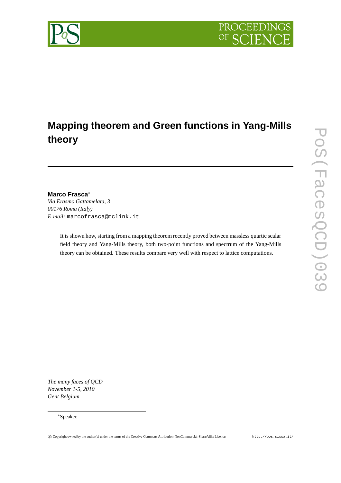

# **Mapping theorem and Green functions in Yang-Mills theory**

# **Marco Frasca**∗

*Via Erasmo Gattamelata, 3 00176 Roma (Italy) E-mail:* marcofrasca@mclink.it

> It is shown how, starting from a mapping theorem recently proved between massless quartic scalar field theory and Yang-Mills theory, both two-point functions and spectrum of the Yang-Mills theory can be obtained. These results compare very well with respect to lattice computations.

*The many faces of QCD November 1-5, 2010 Gent Belgium*



<sup>∗</sup>Speaker.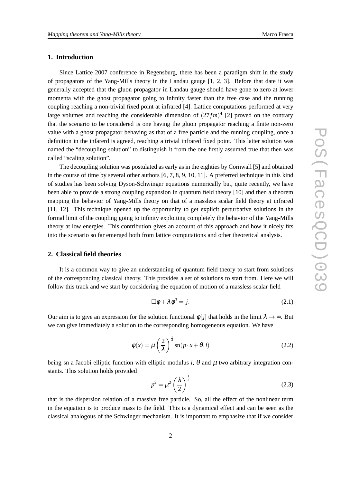# **1. Introduction**

Since Lattice 2007 conference in Regensburg, there has been a paradigm shift in the study of propagators of the Yang-Mills theory in the Landau gauge [1, 2, 3]. Before that date it was generally accepted that the gluon propagator in Landau gauge should have gone to zero at lower momenta with the ghost propagator going to infinity faster than the free case and the running coupling reaching a non-trivial fixed point at infrared [4]. Lattice computations performed at very large volumes and reaching the considerable dimension of  $(27 fm)^4$  [2] proved on the contrary that the scenario to be considered is one having the gluon propagator reaching a finite non-zero value with a ghost propagator behaving as that of a free particle and the running coupling, once a definition in the infarerd is agreed, reaching a trivial infrared fixed point. This latter solution was named the "decoupling solution" to distinguish it from the one firstly assumed true that then was called "scaling solution".

The decoupling solution was postulated as early as in the eighties by Cornwall [5] and obtained in the course of time by several other authors [6, 7, 8, 9, 10, 11]. A preferred technique in this kind of studies has been solving Dyson-Schwinger equations numerically but, quite recently, we have been able to provide a strong coupling expansion in quantum field theory [10] and then a theorem mapping the behavior of Yang-Mills theory on that of a massless scalar field theory at infrared [11, 12]. This technique opened up the opportunity to get explicit perturbative solutions in the formal limit of the coupling going to infinity exploiting completely the behavior of the Yang-Mills theory at low energies. This contribution gives an account of this approach and how it nicely fits into the scenario so far emerged both from lattice computations and other theoretical analysis.

#### **2. Classical field theories**

It is a common way to give an understanding of quantum field theory to start from solutions of the corresponding classical theory. This provides a set of solutions to start from. Here we will follow this track and we start by considering the equation of motion of a massless scalar field

$$
\Box \phi + \lambda \phi^3 = j. \tag{2.1}
$$

Our aim is to give an expression for the solution functional  $\phi[i]$  that holds in the limit  $\lambda \to \infty$ . But we can give immediately a solution to the corresponding homogeneous equation. We have

$$
\phi(x) = \mu \left(\frac{2}{\lambda}\right)^{\frac{1}{4}} \operatorname{sn}(p \cdot x + \theta, i)
$$
\n(2.2)

being sn a Jacobi elliptic function with elliptic modulus *i*,  $\theta$  and  $\mu$  two arbitrary integration constants. This solution holds provided

$$
p^2 = \mu^2 \left(\frac{\lambda}{2}\right)^{\frac{1}{2}}\tag{2.3}
$$

that is the dispersion relation of a massive free particle. So, all the effect of the nonlinear term in the equation is to produce mass to the field. This is a dynamical effect and can be seen as the classical analogous of the Schwinger mechanism. It is important to emphasize that if we consider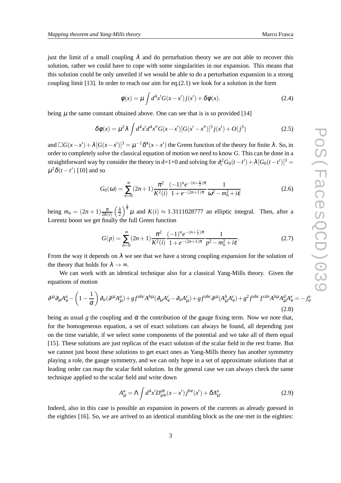just the limit of a small coupling  $\lambda$  and do perturbation theory we are not able to recover this solution, rather we could have to cope with some singularities in our expansion. This means that this solution could be only unveiled if we would be able to do a perturbation expansion in a strong coupling limit  $[13]$ . In order to reach our aim for eq. $(2.1)$  we look for a solution in the form

$$
\phi(x) = \mu \int d^4x' G(x - x') j(x') + \delta \phi(x).
$$
\n(2.4)

being  $\mu$  the same constant obtained above. One can see that is is so provided [14]

$$
\delta\phi(x) = \mu^2 \lambda \int d^4x' d^4x'' G(x - x') [G(x' - x'')]^3 j(x') + O(j^3)
$$
 (2.5)

and  $\Box G(x-x') + \lambda [G(x-x')]^3 = \mu^{-1} \delta^4(x-x')$  the Green function of the theory for finite  $\lambda$ . So, in order to completely solve the classical equation of motion we need to know *G*. This can be done in a straightforward way by consider the theory in d=1+0 and solving for  $\partial_t^2 G_0(t-t') + \lambda [G_0(t-t')]^3$  $\mu^2 \delta(t-t')$  [10] and so

$$
G_0(\omega) = \sum_{n=0}^{\infty} (2n+1) \frac{\pi^2}{K^2(i)} \frac{(-1)^n e^{-(n+\frac{1}{2})\pi}}{1 + e^{-(2n+1)\pi}} \frac{1}{\omega^2 - m_n^2 + i\varepsilon}
$$
(2.6)

being  $m_n = (2n+1)\frac{\pi}{2K(i)} \left(\frac{\lambda}{2}\right)^{\frac{1}{4}} \mu$  and  $K(i) \approx 1.3111028777$  an elliptic integral. Then, after a Lorentz boost we get finally the full Green function

$$
G(p) = \sum_{n=0}^{\infty} (2n+1) \frac{\pi^2}{K^2(i)} \frac{(-1)^n e^{-(n+\frac{1}{2})\pi}}{1 + e^{-(2n+1)\pi}} \frac{1}{p^2 - m_n^2 + i\varepsilon}.
$$
 (2.7)

From the way it depends on  $\lambda$  we see that we have a strong coupling expansion for the solution of the theory that holds for  $\lambda \rightarrow \infty$ .

We can work with an identical technique also for a classical Yang-Mills theory. Given the equations of motion

$$
\partial^{\mu}\partial_{\mu}A^{a}_{\nu} - \left(1 - \frac{1}{\alpha}\right)\partial_{\nu}(\partial^{\mu}A^{a}_{\mu}) + gf^{abc}A^{b\mu}(\partial_{\mu}A^{c}_{\nu} - \partial_{\nu}A^{c}_{\mu}) + gf^{abc}\partial^{\mu}(A^{b}_{\mu}A^{c}_{\nu}) + g^{2}f^{abc}f^{cde}A^{b\mu}A^{d}_{\mu}A^{e}_{\nu} = -j^{a}_{\nu}
$$
\n(2.8)

being as usual *g* the coupling and  $\alpha$  the contribution of the gauge fixing term. Now we note that, for the homogeneous equation, a set of exact solutions can always be found, all depending just on the time variable, if we select some components of the potential and we take all of them equal [15]. These solutions are just replicas of the exact solution of the scalar field in the rest frame. But we cannot just boost these solutions to get exact ones as Yang-Mills theory has another symmetry playing a role, the gauge symmetry, and we can only hope in a set of approximate solutions that at leading order can map the scalar field solution. In the general case we can always check the same technique applied to the scalar field and write down

$$
A^a_\mu = \Lambda \int d^4x' D^{ab}_{\mu\nu}(x - x') j^{b\nu}(x') + \delta A^a_\mu. \tag{2.9}
$$

Indeed, also in this case is possible an expansion in powers of the currents as already guessed in the eighties [16]. So, we are arrived to an identical stumbling block as the one met in the eighties: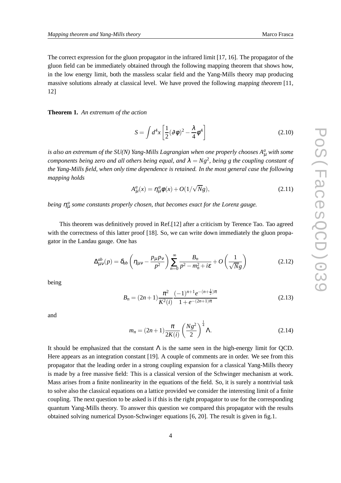The correct expression for the gluon propagator in the infrared limit [17, 16]. The propagator of the gluon field can be immediately obtained through the following mapping theorem that shows how, in the low energy limit, both the massless scalar field and the Yang-Mills theory map producing massive solutions already at classical level. We have proved the following mapping theorem [11, 12]

**Theorem 1.** *An extremum of the action*

$$
S = \int d^4x \left[ \frac{1}{2} (\partial \phi)^2 - \frac{\lambda}{4} \phi^4 \right]
$$
 (2.10)

*is also an extremum of the SU(N) Yang-Mills Lagrangian when one properly chooses A<sup>a</sup>* <sup>µ</sup> *with some components being zero and all others being equal, and*  $\lambda = Ng^2$ , *being g the coupling constant of the Yang-Mills field, when only time dependence is retained. In the most general case the following mapping holds*

$$
A^a_\mu(x) = \eta^a_\mu \phi(x) + O(1/\sqrt{N}g), \qquad (2.11)
$$

*being*  $η<sup>a</sup><sub>μ</sub>$  some constants properly chosen, that becomes exact for the Lorenz gauge.

This theorem was definitively proved in Ref.[12] after a criticism by Terence Tao. Tao agreed with the correctness of this latter proof [18]. So, we can write down immediately the gluon propagator in the Landau gauge. One has

$$
\Delta_{\mu\nu}^{ab}(p) = \delta_{ab} \left( \eta_{\mu\nu} - \frac{p_{\mu} p_{\nu}}{p^2} \right) \sum_{n=0}^{\infty} \frac{B_n}{p^2 - m_n^2 + i\varepsilon} + O\left(\frac{1}{\sqrt{N}g}\right)
$$
(2.12)

being

$$
B_n = (2n+1)\frac{\pi^2}{K^2(i)} \frac{(-1)^{n+1}e^{-(n+\frac{1}{2})\pi}}{1+e^{-(2n+1)\pi}}
$$
(2.13)

and

$$
m_n = (2n+1)\frac{\pi}{2K(i)} \left(\frac{Ng^2}{2}\right)^{\frac{1}{4}} \Lambda.
$$
 (2.14)

It should be emphasized that the constant  $\Lambda$  is the same seen in the high-energy limit for QCD. Here appears as an integration constant [19]. A couple of comments are in order. We see from this propagator that the leading order in a strong coupling expansion for a classical Yang-Mills theory is made by a free massive field: This is a classical version of the Schwinger mechanism at work. Mass arises from a finite nonlinearity in the equations of the field. So, it is surely a nontrivial task to solve also the classical equations on a lattice provided we consider the interesting limit of a finite coupling. The next question to be asked is if this is the right propagator to use for the corresponding quantum Yang-Mills theory. To answer this question we compared this propagator with the results obtained solving numerical Dyson-Schwinger equations [6, 20]. The result is given in fig.1.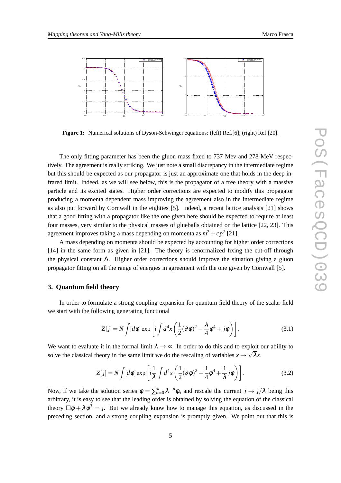

**Figure 1:** Numerical solutions of Dyson-Schwinger equations: (left) Ref.[6]; (right) Ref.[20].

The only fitting parameter has been the gluon mass fixed to 737 Mev and 278 MeV respectively. The agreement is really striking. We just note a small discrepancy in the intermediate regime but this should be expected as our propagator is just an approximate one that holds in the deep infrared limit. Indeed, as we will see below, this is the propagator of a free theory with a massive particle and its excited states. Higher order corrections are expected to modify this propagator producing a momenta dependent mass improving the agreement also in the intermediate regime as also put forward by Cornwall in the eighties [5]. Indeed, a recent lattice analysis [21] shows that a good fitting with a propagator like the one given here should be expected to require at least four masses, very similar to the physical masses of glueballs obtained on the lattice [22, 23]. This agreement improves taking a mass depending on momenta as  $m^2 + cp^2$  [21].

A mass depending on momenta should be expected by accounting for higher order corrections [14] in the same form as given in [21]. The theory is renormalized fixing the cut-off through the physical constant  $\Lambda$ . Higher order corrections should improve the situation giving a gluon propagator fitting on all the range of energies in agreement with the one given by Cornwall [5].

#### **3. Quantum field theory**

In order to formulate a strong coupling expansion for quantum field theory of the scalar field we start with the following generating functional

$$
Z[j] = N \int [d\phi] \exp\left[i \int d^4x \left(\frac{1}{2}(\partial \phi)^2 - \frac{\lambda}{4} \phi^4 + j\phi\right)\right].
$$
 (3.1)

We want to evaluate it in the formal limit  $\lambda \to \infty$ . In order to do this and to exploit our ability to solve the classical theory in the same limit we do the rescaling of variables  $x \to \sqrt{\lambda}x$ .

$$
Z[j] = N \int [d\phi] \exp\left[i\frac{1}{\lambda} \int d^4x \left(\frac{1}{2}(\partial\phi)^2 - \frac{1}{4}\phi^4 + \frac{1}{\lambda}j\phi\right)\right].
$$
 (3.2)

Now, if we take the solution series  $\phi = \sum_{n=0}^{\infty} \lambda^{-n} \phi_n$  and rescale the current  $j \to j/\lambda$  being this arbitrary, it is easy to see that the leading order is obtained by solving the equation of the classical theory  $\Box \phi + \lambda \phi^3 = j$ . But we already know how to manage this equation, as discussed in the preceding section, and a strong coupling expansion is promptly given. We point out that this is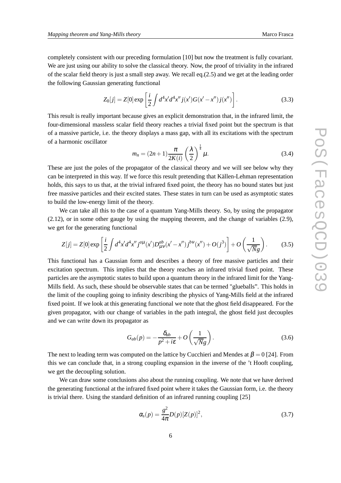completely consistent with our preceding formulation [10] but now the treatment is fully covariant. We are just using our ability to solve the classical theory. Now, the proof of triviality in the infrared of the scalar field theory is just a small step away. We recall eq. $(2.5)$  and we get at the leading order the following Gaussian generating functional

$$
Z_0[j] = Z[0] \exp\left[\frac{i}{2} \int d^4x' d^4x'' j(x') G(x' - x'') j(x'')\right].
$$
 (3.3)

This result is really important because gives an explicit demonstration that, in the infrared limit, the four-dimensional massless scalar field theory reaches a trivial fixed point but the spectrum is that of a massive particle, i.e. the theory displays a mass gap, with all its excitations with the spectrum of a harmonic oscillator

$$
m_n = (2n+1)\frac{\pi}{2K(i)}\left(\frac{\lambda}{2}\right)^{\frac{1}{4}}\mu.
$$
\n(3.4)

These are just the poles of the propagator of the classical theory and we will see below why they can be interpreted in this way. If we force this result pretending that Källen-Lehman representation holds, this says to us that, at the trivial infrared fixed point, the theory has no bound states but just free massive particles and their excited states. These states in turn can be used as asymptotic states to build the low-energy limit of the theory.

We can take all this to the case of a quantum Yang-Mills theory. So, by using the propagator (2.12), or in some other gauge by using the mapping theorem, and the change of variables (2.9), we get for the generating functional

$$
Z[j] = Z[0] \exp\left[\frac{i}{2} \int d^4x' d^4x'' j^{a\mu}(x') D^{ab}_{\mu\nu}(x'-x'') j^{b\nu}(x'') + O(j^3)\right] + O\left(\frac{1}{\sqrt{N}g}\right). \tag{3.5}
$$

This functional has a Gaussian form and describes a theory of free massive particles and their excitation spectrum. This implies that the theory reaches an infrared trivial fixed point. These particles are the asymptotic states to build upon a quantum theory in the infrared limit for the Yang-Mills field. As such, these should be observable states that can be termed "glueballs". This holds in the limit of the coupling going to infinity describing the physics of Yang-Mills field at the infrared fixed point. If we look at this generating functional we note that the ghost field disappeared. For the given propagator, with our change of variables in the path integral, the ghost field just decouples and we can write down its propagator as

$$
G_{ab}(p) = -\frac{\delta_{ab}}{p^2 + i\epsilon} + O\left(\frac{1}{\sqrt{N}g}\right).
$$
\n(3.6)

The next to leading term was computed on the lattice by Cucchieri and Mendes at  $\beta = 0$  [24]. From this we can conclude that, in a strong coupling expansion in the inverse of the 't Hooft coupling, we get the decoupling solution.

We can draw some conclusions also about the running coupling. We note that we have derived the generating functional at the infrared fixed point where it takes the Gaussian form, i.e. the theory is trivial there. Using the standard definition of an infrared running coupling [25]

$$
\alpha_s(p) = \frac{g^2}{4\pi} D(p) [Z(p)]^2,
$$
\n(3.7)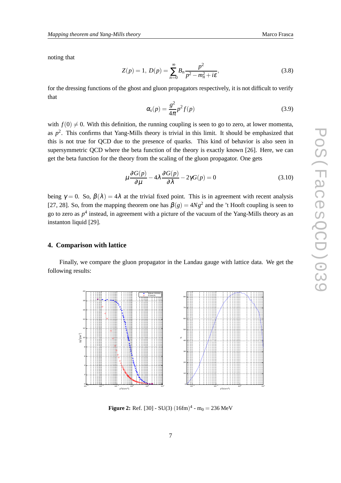noting that

$$
Z(p) = 1, \ D(p) = \sum_{n=0}^{\infty} B_n \frac{p^2}{p^2 - m_n^2 + i\varepsilon},
$$
\n(3.8)

for the dressing functions of the ghost and gluon propagators respectively, it is not difficult to verify that

$$
\alpha_s(p) = \frac{g^2}{4\pi} p^2 f(p) \tag{3.9}
$$

with  $f(0) \neq 0$ . With this definition, the running coupling is seen to go to zero, at lower momenta, as  $p<sup>2</sup>$ . This confirms that Yang-Mills theory is trivial in this limit. It should be emphasized that this is not true for QCD due to the presence of quarks. This kind of behavior is also seen in supersymmetric QCD where the beta function of the theory is exactly known [26]. Here, we can get the beta function for the theory from the scaling of the gluon propagator. One gets

$$
\mu \frac{\partial G(p)}{\partial \mu} - 4\lambda \frac{\partial G(p)}{\partial \lambda} - 2\gamma G(p) = 0
$$
\n(3.10)

being  $\gamma = 0$ . So,  $\beta(\lambda) = 4\lambda$  at the trivial fixed point. This is in agreement with recent analysis [27, 28]. So, from the mapping theorem one has  $\beta(g) = 4Ng^2$  and the 't Hooft coupling is seen to go to zero as *p* 4 instead, in agreement with a picture of the vacuum of the Yang-Mills theory as an instanton liquid [29].

### **4. Comparison with lattice**

Finally, we compare the gluon propagator in the Landau gauge with lattice data. We get the following results:



**Figure 2:** Ref. [30] - SU(3)  $(16fm)^4$  - m<sub>0</sub> = 236 MeV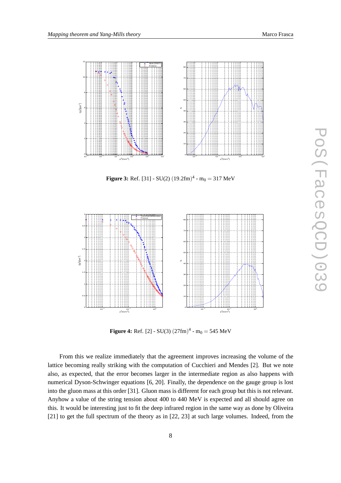

**Figure 3:** Ref. [31] - SU(2)  $(19.2 \text{fm})^4$  - m<sub>0</sub> = 317 MeV



**Figure 4:** Ref. [2] - SU(3)  $(27fm)^4$  -  $m_0 = 545$  MeV

From this we realize immediately that the agreement improves increasing the volume of the lattice becoming really striking with the computation of Cucchieri and Mendes [2]. But we note also, as expected, that the error becomes larger in the intermediate region as also happens with numerical Dyson-Schwinger equations [6, 20]. Finally, the dependence on the gauge group is lost into the gluon mass at this order [31]. Gluon mass is different for each group but this is not relevant. Anyhow a value of the string tension about 400 to 440 MeV is expected and all should agree on this. It would be interesting just to fit the deep infrared region in the same way as done by Oliveira [21] to get the full spectrum of the theory as in [22, 23] at such large volumes. Indeed, from the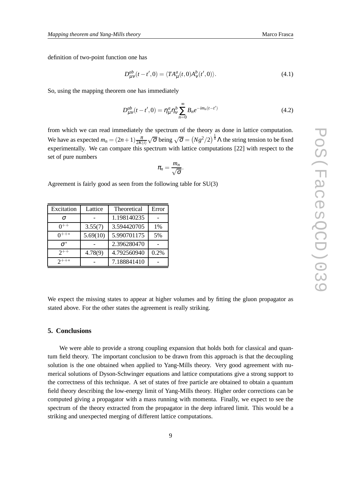definition of two-point function one has

$$
D_{\mu\nu}^{ab}(t-t',0) = \langle TA_{\mu}^a(t,0)A_{\nu}^b(t',0) \rangle.
$$
 (4.1)

So, using the mapping theorem one has immediately

$$
D_{\mu\nu}^{ab}(t-t',0) = \eta_{\mu}^a \eta_{\nu}^b \sum_{n=0}^{\infty} B_n e^{-im_n(t-t')} \tag{4.2}
$$

from which we can read immediately the spectrum of the theory as done in lattice computation. We have as expected  $m_n = (2n+1)\frac{\pi}{2K(i)}\sqrt{\sigma}$  being  $\sqrt{\sigma} = (Ng^2/2)^{\frac{1}{4}}\Lambda$  the string tension to be fixed experimentally. We can compare this spectrum with lattice computations [22] with respect to the set of pure numbers

$$
\pi_n=\frac{m_n}{\sqrt{\sigma}}.
$$

Agreement is fairly good as seen from the following table for SU(3)

| Excitation | Lattice  | Theoretical | Error |
|------------|----------|-------------|-------|
| $\sigma$   |          | 1.198140235 |       |
|            | 3.55(7)  | 3.594420705 | 1%    |
| $0^{++*}$  | 5.69(10) | 5.990701175 | 5%    |
| $\sigma^*$ |          | 2.396280470 |       |
| $2^{++}$   | 4.78(9)  | 4.792560940 | 0.2%  |
| $2^{++*}$  |          | 7.188841410 |       |

We expect the missing states to appear at higher volumes and by fitting the gluon propagator as stated above. For the other states the agreement is really striking.

# **5. Conclusions**

We were able to provide a strong coupling expansion that holds both for classical and quantum field theory. The important conclusion to be drawn from this approach is that the decoupling solution is the one obtained when applied to Yang-Mills theory. Very good agreement with numerical solutions of Dyson-Schwinger equations and lattice computations give a strong support to the correctness of this technique. A set of states of free particle are obtained to obtain a quantum field theory describing the low-energy limit of Yang-Mills theory. Higher order corrections can be computed giving a propagator with a mass running with momenta. Finally, we expect to see the spectrum of the theory extracted from the propagator in the deep infrared limit. This would be a striking and unexpected merging of different lattice computations.